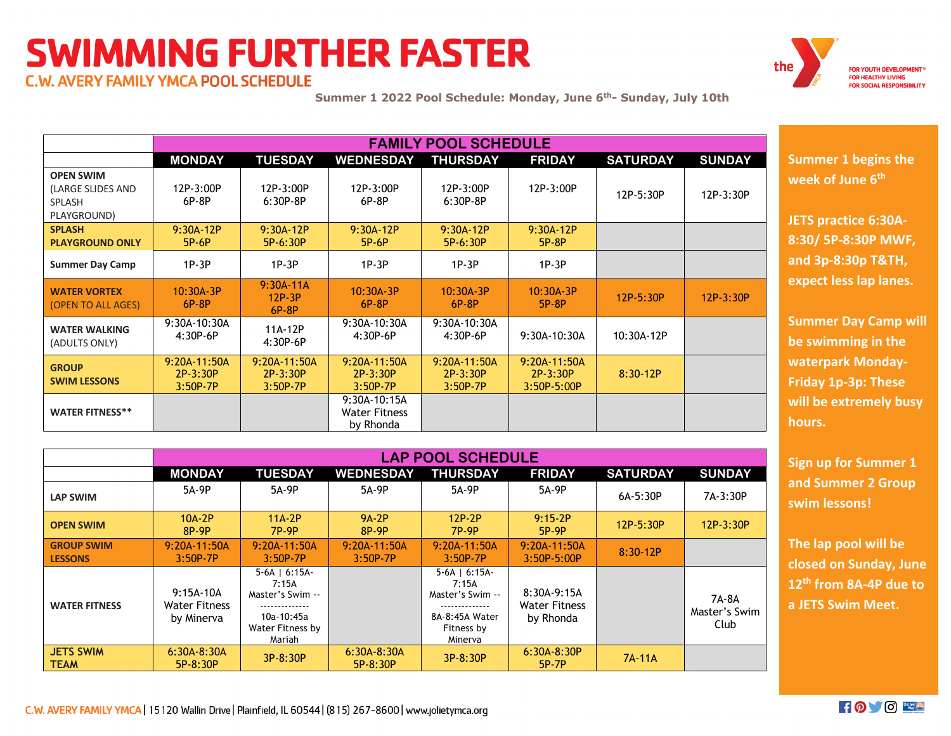## **SWIMMING FURTHER FASTER**



**C.W. AVERY FAMILY YMCA POOL SCHEDULE** 

**Summer 1 2022 Pool Schedule: Monday, June 6th- Sunday, July 10th**

|                                                                | <b>FAMILY POOL SCHEDULE</b>            |                                          |                                                   |                                        |                                                 |                 |               |  |  |  |
|----------------------------------------------------------------|----------------------------------------|------------------------------------------|---------------------------------------------------|----------------------------------------|-------------------------------------------------|-----------------|---------------|--|--|--|
|                                                                | <b>MONDAY</b>                          | <b>TUESDAY</b>                           | <b>WEDNESDAY</b>                                  | <b>THURSDAY</b>                        | <b>FRIDAY</b>                                   | <b>SATURDAY</b> | <b>SUNDAY</b> |  |  |  |
| <b>OPEN SWIM</b><br>(LARGE SLIDES AND<br>SPLASH<br>PLAYGROUND) | 12P-3:00P<br>$6P-8P$                   | 12P-3:00P<br>$6:30P-8P$                  | 12P-3:00P<br>$6P-8P$                              | 12P-3:00P<br>$6:30P-8P$                | 12P-3:00P                                       | 12P-5:30P       | 12P-3:30P     |  |  |  |
| <b>SPLASH</b><br><b>PLAYGROUND ONLY</b>                        | $9:30A$ 12P<br>5P-6P                   | 9:30A-12P<br>5P-6:30P                    | 9:30A-12P<br>5P-6P                                | 9:30A-12P<br>5P-6:30P                  | $9:30A-12P$<br>5P-8P                            |                 |               |  |  |  |
| <b>Summer Day Camp</b>                                         | $1P-3P$                                | $1P-3P$                                  | $1P-3P$                                           | $1P-3P$                                | $1P-3P$                                         |                 |               |  |  |  |
| <b>WATER VORTEX</b><br>(OPEN TO ALL AGES)                      | $10:30A-3P$<br>$6P-8P$                 | $9:30A-11A$<br>$12P-3P$<br>$6P-8P$       | $10:30A-3P$<br>$6P-8P$                            | $10:30A-3P$<br>$6P-8P$                 | 10:30A-3P<br>5P-8P                              | 12P-5:30P       | $12P-3:30P$   |  |  |  |
| <b>WATER WALKING</b><br>(ADULTS ONLY)                          | 9:30A-10:30A<br>$4:30P-6P$             | 11A-12P<br>$4:30P-6P$                    | 9:30A-10:30A<br>$4:30P-6P$                        | 9:30A-10:30A<br>$4:30P-6P$             | 9:30A-10:30A                                    | 10:30A-12P      |               |  |  |  |
| <b>GROUP</b><br><b>SWIM LESSONS</b>                            | 9:20A-11:50A<br>2P-3:30P<br>$3:50P-7P$ | $9:20A-11:50A$<br>2P-3:30P<br>$3:50P-7P$ | $9:20A-11:50A$<br>2P-3:30P<br>$3:50P-7P$          | 9:20A-11:50A<br>2P-3:30P<br>$3:50P-7P$ | $9:20A-11:50A$<br>$2P-3:30P$<br>$3:50P - 5:00P$ | $8:30-12P$      |               |  |  |  |
| <b>WATER FITNESS**</b>                                         |                                        |                                          | 9:30A-10:15A<br><b>Water Fitness</b><br>by Rhonda |                                        |                                                 |                 |               |  |  |  |

|                                     | <b>LAP POOL SCHEDULE</b>                          |                                                                                               |                           |                                                                                                            |                                                  |                 |                                |  |  |  |
|-------------------------------------|---------------------------------------------------|-----------------------------------------------------------------------------------------------|---------------------------|------------------------------------------------------------------------------------------------------------|--------------------------------------------------|-----------------|--------------------------------|--|--|--|
|                                     | <b>MONDAY</b>                                     | <b>TUESDAY</b>                                                                                | <b>WEDNESDAY</b>          | <b>THURSDAY</b>                                                                                            | <b>FRIDAY</b>                                    | <b>SATURDAY</b> | <b>SUNDAY</b>                  |  |  |  |
| <b>LAP SWIM</b>                     | 5A-9P                                             | 5A-9P                                                                                         | 5A-9P                     | 5A-9P                                                                                                      | 5A-9P                                            | 6A-5:30P        | 7A-3:30P                       |  |  |  |
| <b>OPEN SWIM</b>                    | $10A-2P$<br>8P.9P                                 | $11A-2P$<br>7P-9P                                                                             | 9A-2P<br>8P-9P            | 12P-2P<br>7P-9P                                                                                            | $9:15-2P$<br>5P 9P                               | 12P-5:30P       | $12P-3:30P$                    |  |  |  |
| <b>GROUP SWIM</b><br><b>LESSONS</b> | 9:20A-11:50A<br>$3:50P-7P$                        | $9:20A-11:50A$<br>$3:50P-7P$                                                                  | 9:20A-11:50A<br>3:50P-7P  | 9:20A-11:50A<br>$3:50P-7P$                                                                                 | $9:20A-11:50A$<br>3:50P-5:00P                    | $8:30-12P$      |                                |  |  |  |
| <b>WATER FITNESS</b>                | $9:15A-10A$<br><b>Water Fitness</b><br>by Minerva | $5-6A$   $6:15A$<br>7:15A<br>Master's Swim --<br><br>10a-10:45a<br>Water Fitness by<br>Mariah |                           | $5-6A$   $6:15A$<br>7:15A<br>Master's Swim --<br>--------------<br>8A-8:45A Water<br>Fitness by<br>Minerva | 8:30A-9:15A<br><b>Water Fitness</b><br>by Rhonda |                 | 7A-8A<br>Master's Swim<br>Club |  |  |  |
| <b>JETS SWIM</b><br><b>TEAM</b>     | $6:30A - 8:30A$<br>$5P - 8:30P$                   | 3P-8:30P                                                                                      | 6:30A-8:30A<br>$5P-8:30P$ | 3P-8:30P                                                                                                   | 6:30A-8:30P<br>5P 7P                             | 7A-11A          |                                |  |  |  |

**Summer 1 begins the week of June 6th** 

**JETS practice 6:30A-8:30/ 5P-8:30P MWF, and 3p-8:30p T&TH, expect less lap lanes.**

**Summer Day Camp will be swimming in the waterpark Monday-Friday 1p-3p: These will be extremely busy hours.** 

**Sign up for Summer 1 and Summer 2 Group swim lessons!**

**The lap pool will be closed on Sunday, June 12th from 8A-4P due to a JETS Swim Meet.**